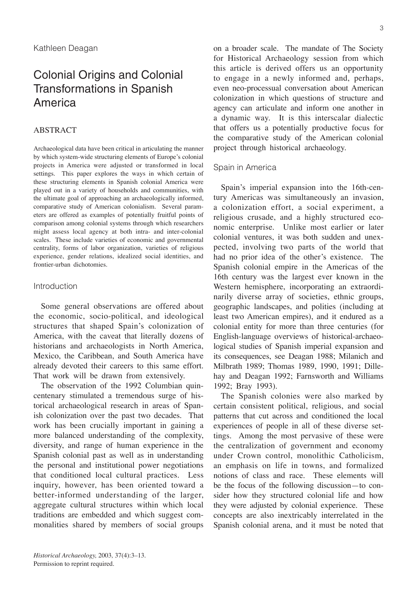# Colonial Origins and Colonial Transformations in Spanish America

# ABSTRACT

Archaeological data have been critical in articulating the manner by which system-wide structuring elements of Europe's colonial projects in America were adjusted or transformed in local settings. This paper explores the ways in which certain of these structuring elements in Spanish colonial America were played out in a variety of households and communities, with the ultimate goal of approaching an archaeologically informed, comparative study of American colonialism. Several parameters are offered as examples of potentially fruitful points of comparison among colonial systems through which researchers might assess local agency at both intra- and inter-colonial scales. These include varieties of economic and governmental centrality, forms of labor organization, varieties of religious experience, gender relations, idealized social identities, and frontier-urban dichotomies.

# Introduction

Some general observations are offered about the economic, socio-political, and ideological structures that shaped Spain's colonization of America, with the caveat that literally dozens of historians and archaeologists in North America, Mexico, the Caribbean, and South America have already devoted their careers to this same effort. That work will be drawn from extensively.

The observation of the 1992 Columbian quincentenary stimulated a tremendous surge of historical archaeological research in areas of Spanish colonization over the past two decades. That work has been crucially important in gaining a more balanced understanding of the complexity, diversity, and range of human experience in the Spanish colonial past as well as in understanding the personal and institutional power negotiations that conditioned local cultural practices. Less inquiry, however, has been oriented toward a better-informed understanding of the larger, aggregate cultural structures within which local traditions are embedded and which suggest commonalities shared by members of social groups on a broader scale. The mandate of The Society for Historical Archaeology session from which this article is derived offers us an opportunity to engage in a newly informed and, perhaps, even neo-processual conversation about American colonization in which questions of structure and agency can articulate and inform one another in a dynamic way. It is this interscalar dialectic that offers us a potentially productive focus for the comparative study of the American colonial project through historical archaeology.

# Spain in America

Spain's imperial expansion into the 16th-century Americas was simultaneously an invasion, a colonization effort, a social experiment, a religious crusade, and a highly structured economic enterprise. Unlike most earlier or later colonial ventures, it was both sudden and unexpected, involving two parts of the world that had no prior idea of the other's existence. The Spanish colonial empire in the Americas of the 16th century was the largest ever known in the Western hemisphere, incorporating an extraordinarily diverse array of societies, ethnic groups, geographic landscapes, and polities (including at least two American empires), and it endured as a colonial entity for more than three centuries (for English-language overviews of historical-archaeological studies of Spanish imperial expansion and its consequences, see Deagan 1988; Milanich and Milbrath 1989; Thomas 1989, 1990, 1991; Dillehay and Deagan 1992; Farnsworth and Williams 1992; Bray 1993).

The Spanish colonies were also marked by certain consistent political, religious, and social patterns that cut across and conditioned the local experiences of people in all of these diverse settings. Among the most pervasive of these were the centralization of government and economy under Crown control, monolithic Catholicism, an emphasis on life in towns, and formalized notions of class and race. These elements will be the focus of the following discussion—to consider how they structured colonial life and how they were adjusted by colonial experience. These concepts are also inextricably interrelated in the Spanish colonial arena, and it must be noted that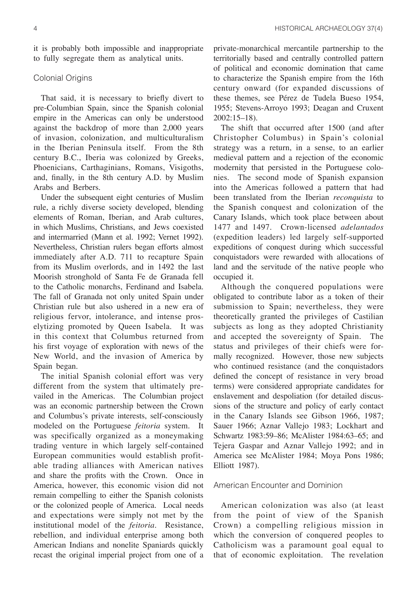it is probably both impossible and inappropriate to fully segregate them as analytical units.

# Colonial Origins

That said, it is necessary to briefly divert to pre-Columbian Spain, since the Spanish colonial empire in the Americas can only be understood against the backdrop of more than 2,000 years of invasion, colonization, and multiculturalism in the Iberian Peninsula itself. From the 8th century B.C., Iberia was colonized by Greeks, Phoenicians, Carthaginians, Romans, Visigoths, and, finally, in the 8th century A.D. by Muslim Arabs and Berbers.

Under the subsequent eight centuries of Muslim rule, a richly diverse society developed, blending elements of Roman, Iberian, and Arab cultures, in which Muslims, Christians, and Jews coexisted and intermarried (Mann et al. 1992; Vernet 1992). Nevertheless, Christian rulers began efforts almost immediately after A.D. 711 to recapture Spain from its Muslim overlords, and in 1492 the last Moorish stronghold of Santa Fe de Granada fell to the Catholic monarchs, Ferdinand and Isabela. The fall of Granada not only united Spain under Christian rule but also ushered in a new era of religious fervor, intolerance, and intense proselytizing promoted by Queen Isabela. It was in this context that Columbus returned from his first voyage of exploration with news of the New World, and the invasion of America by Spain began.

The initial Spanish colonial effort was very different from the system that ultimately prevailed in the Americas. The Columbian project was an economic partnership between the Crown and Columbus's private interests, self-consciously modeled on the Portuguese *feitoria* system. It was specifically organized as a moneymaking trading venture in which largely self-contained European communities would establish profitable trading alliances with American natives and share the profits with the Crown. Once in America, however, this economic vision did not remain compelling to either the Spanish colonists or the colonized people of America. Local needs and expectations were simply not met by the institutional model of the *feitoria*. Resistance, rebellion, and individual enterprise among both American Indians and nonelite Spaniards quickly recast the original imperial project from one of a

private-monarchical mercantile partnership to the territorially based and centrally controlled pattern of political and economic domination that came to characterize the Spanish empire from the 16th century onward (for expanded discussions of these themes, see Pérez de Tudela Bueso 1954, 1955; Stevens-Arroyo 1993; Deagan and Cruxent 2002:15–18).

The shift that occurred after 1500 (and after Christopher Columbus) in Spain's colonial strategy was a return, in a sense, to an earlier medieval pattern and a rejection of the economic modernity that persisted in the Portuguese colonies. The second mode of Spanish expansion into the Americas followed a pattern that had been translated from the Iberian *reconquista* to the Spanish conquest and colonization of the Canary Islands, which took place between about 1477 and 1497. Crown-licensed *adelantados* (expedition leaders) led largely self-supported expeditions of conquest during which successful conquistadors were rewarded with allocations of land and the servitude of the native people who occupied it.

Although the conquered populations were obligated to contribute labor as a token of their submission to Spain; nevertheless, they were theoretically granted the privileges of Castilian subjects as long as they adopted Christianity and accepted the sovereignty of Spain. The status and privileges of their chiefs were formally recognized. However, those new subjects who continued resistance (and the conquistadors defined the concept of resistance in very broad terms) were considered appropriate candidates for enslavement and despoliation (for detailed discussions of the structure and policy of early contact in the Canary Islands see Gibson 1966, 1987; Sauer 1966; Aznar Vallejo 1983; Lockhart and Schwartz 1983:59–86; McAlister 1984:63–65; and Tejera Gaspar and Aznar Vallejo 1992; and in America see McAlister 1984; Moya Pons 1986; Elliott 1987).

# American Encounter and Dominion

American colonization was also (at least from the point of view of the Spanish Crown) a compelling religious mission in which the conversion of conquered peoples to Catholicism was a paramount goal equal to that of economic exploitation. The revelation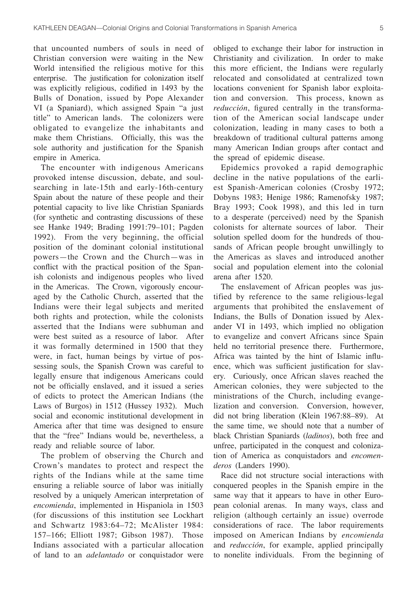that uncounted numbers of souls in need of Christian conversion were waiting in the New World intensified the religious motive for this enterprise. The justification for colonization itself was explicitly religious, codified in 1493 by the Bulls of Donation, issued by Pope Alexander VI (a Spaniard), which assigned Spain "a just title" to American lands. The colonizers were obligated to evangelize the inhabitants and make them Christians. Officially, this was the sole authority and justification for the Spanish empire in America.

The encounter with indigenous Americans provoked intense discussion, debate, and soulsearching in late-15th and early-16th-century Spain about the nature of these people and their potential capacity to live like Christian Spaniards (for synthetic and contrasting discussions of these see Hanke 1949; Brading 1991:79–101; Pagden 1992). From the very beginning, the official position of the dominant colonial institutional powers—the Crown and the Church—was in conflict with the practical position of the Spanish colonists and indigenous peoples who lived in the Americas. The Crown, vigorously encouraged by the Catholic Church, asserted that the Indians were their legal subjects and merited both rights and protection, while the colonists asserted that the Indians were subhuman and were best suited as a resource of labor. After it was formally determined in 1500 that they were, in fact, human beings by virtue of possessing souls, the Spanish Crown was careful to legally ensure that indigenous Americans could not be officially enslaved, and it issued a series of edicts to protect the American Indians (the Laws of Burgos) in 1512 (Hussey 1932). Much social and economic institutional development in America after that time was designed to ensure that the "free" Indians would be, nevertheless, a ready and reliable source of labor.

The problem of observing the Church and Crown's mandates to protect and respect the rights of the Indians while at the same time ensuring a reliable source of labor was initially resolved by a uniquely American interpretation of *encomienda*, implemented in Hispaniola in 1503 (for discussions of this institution see Lockhart and Schwartz 1983:64–72; McAlister 1984: 157–166; Elliott 1987; Gibson 1987). Those Indians associated with a particular allocation of land to an *adelantado* or conquistador were obliged to exchange their labor for instruction in Christianity and civilization. In order to make this more efficient, the Indians were regularly relocated and consolidated at centralized town locations convenient for Spanish labor exploitation and conversion. This process, known as *reducción*, figured centrally in the transformation of the American social landscape under colonization, leading in many cases to both a breakdown of traditional cultural patterns among many American Indian groups after contact and the spread of epidemic disease.

Epidemics provoked a rapid demographic decline in the native populations of the earliest Spanish-American colonies (Crosby 1972; Dobyns 1983; Henige 1986; Ramenofsky 1987; Bray 1993; Cook 1998), and this led in turn to a desperate (perceived) need by the Spanish colonists for alternate sources of labor. Their solution spelled doom for the hundreds of thousands of African people brought unwillingly to the Americas as slaves and introduced another social and population element into the colonial arena after 1520.

The enslavement of African peoples was justified by reference to the same religious-legal arguments that prohibited the enslavement of Indians, the Bulls of Donation issued by Alexander VI in 1493, which implied no obligation to evangelize and convert Africans since Spain held no territorial presence there. Furthermore, Africa was tainted by the hint of Islamic influence, which was sufficient justification for slavery. Curiously, once African slaves reached the American colonies, they were subjected to the ministrations of the Church, including evangelization and conversion. Conversion, however, did not bring liberation (Klein 1967:88–89). At the same time, we should note that a number of black Christian Spaniards (*ladinos*), both free and unfree, participated in the conquest and colonization of America as conquistadors and *encomenderos* (Landers 1990).

Race did not structure social interactions with conquered peoples in the Spanish empire in the same way that it appears to have in other European colonial arenas. In many ways, class and religion (although certainly an issue) overrode considerations of race. The labor requirements imposed on American Indians by *encomienda* and *reducción*, for example, applied principally to nonelite individuals. From the beginning of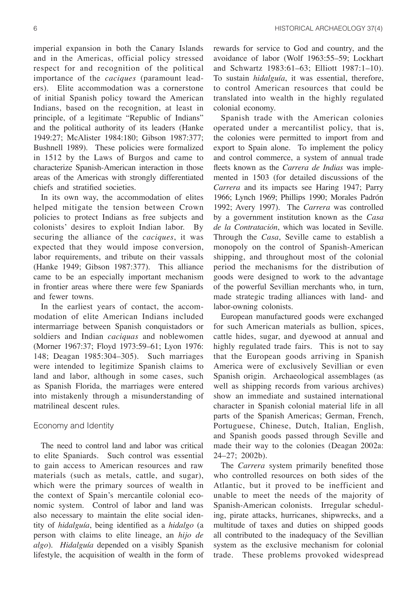imperial expansion in both the Canary Islands and in the Americas, official policy stressed respect for and recognition of the political importance of the *caciques* (paramount leaders). Elite accommodation was a cornerstone of initial Spanish policy toward the American Indians, based on the recognition, at least in principle, of a legitimate "Republic of Indians" and the political authority of its leaders (Hanke 1949:27; McAlister 1984:180; Gibson 1987:377; Bushnell 1989). These policies were formalized in 1512 by the Laws of Burgos and came to characterize Spanish-American interaction in those areas of the Americas with strongly differentiated chiefs and stratified societies.

In its own way, the accommodation of elites helped mitigate the tension between Crown policies to protect Indians as free subjects and colonists' desires to exploit Indian labor. By securing the alliance of the *caciques*, it was expected that they would impose conversion, labor requirements, and tribute on their vassals (Hanke 1949; Gibson 1987:377). This alliance came to be an especially important mechanism in frontier areas where there were few Spaniards and fewer towns.

In the earliest years of contact, the accommodation of elite American Indians included intermarriage between Spanish conquistadors or soldiers and Indian *caciquas* and noblewomen (Morner 1967:37; Floyd 1973:59–61; Lyon 1976: 148; Deagan 1985:304–305). Such marriages were intended to legitimize Spanish claims to land and labor, although in some cases, such as Spanish Florida, the marriages were entered into mistakenly through a misunderstanding of matrilineal descent rules.

# Economy and Identity

The need to control land and labor was critical to elite Spaniards. Such control was essential to gain access to American resources and raw materials (such as metals, cattle, and sugar), which were the primary sources of wealth in the context of Spain's mercantile colonial economic system. Control of labor and land was also necessary to maintain the elite social identity of *hidalguía*, being identified as a *hidalgo* (a person with claims to elite lineage, an *hijo de algo*). *Hidalguía* depended on a visibly Spanish lifestyle, the acquisition of wealth in the form of rewards for service to God and country, and the avoidance of labor (Wolf 1963:55–59; Lockhart and Schwartz 1983:61–63; Elliott 1987:1–10). To sustain *hidalguía*, it was essential, therefore, to control American resources that could be translated into wealth in the highly regulated colonial economy.

Spanish trade with the American colonies operated under a mercantilist policy, that is, the colonies were permitted to import from and export to Spain alone. To implement the policy and control commerce, a system of annual trade fleets known as the *Carrera de Indias* was implemented in 1503 (for detailed discussions of the *Carrera* and its impacts see Haring 1947; Parry 1966; Lynch 1969; Phillips 1990; Morales Padrón 1992; Avery 1997). The *Carrera* was controlled by a government institution known as the *Casa de la Contratación*, which was located in Seville. Through the *Casa*, Seville came to establish a monopoly on the control of Spanish-American shipping, and throughout most of the colonial period the mechanisms for the distribution of goods were designed to work to the advantage of the powerful Sevillian merchants who, in turn, made strategic trading alliances with land- and labor-owning colonists.

European manufactured goods were exchanged for such American materials as bullion, spices, cattle hides, sugar, and dyewood at annual and highly regulated trade fairs. This is not to say that the European goods arriving in Spanish America were of exclusively Sevillian or even Spanish origin. Archaeological assemblages (as well as shipping records from various archives) show an immediate and sustained international character in Spanish colonial material life in all parts of the Spanish Americas; German, French, Portuguese, Chinese, Dutch, Italian, English, and Spanish goods passed through Seville and made their way to the colonies (Deagan 2002a: 24–27; 2002b).

The *Carrera* system primarily benefited those who controlled resources on both sides of the Atlantic, but it proved to be inefficient and unable to meet the needs of the majority of Spanish-American colonists. Irregular scheduling, pirate attacks, hurricanes, shipwrecks, and a multitude of taxes and duties on shipped goods all contributed to the inadequacy of the Sevillian system as the exclusive mechanism for colonial trade. These problems provoked widespread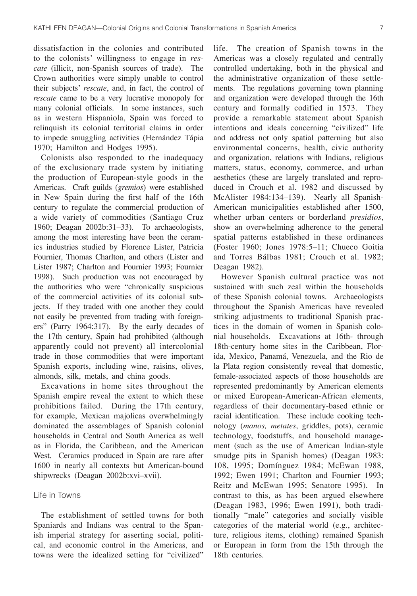dissatisfaction in the colonies and contributed to the colonists' willingness to engage in *rescate* (illicit, non-Spanish sources of trade). The Crown authorities were simply unable to control their subjects' *rescate*, and, in fact, the control of *rescate* came to be a very lucrative monopoly for many colonial officials. In some instances, such as in western Hispaniola, Spain was forced to relinquish its colonial territorial claims in order to impede smuggling activities (Hernández Tápia 1970; Hamilton and Hodges 1995).

Colonists also responded to the inadequacy of the exclusionary trade system by initiating the production of European-style goods in the Americas. Craft guilds (*gremios*) were established in New Spain during the first half of the 16th century to regulate the commercial production of a wide variety of commodities (Santiago Cruz 1960; Deagan 2002b:31–33). To archaeologists, among the most interesting have been the ceramics industries studied by Florence Lister, Patricia Fournier, Thomas Charlton, and others (Lister and Lister 1987; Charlton and Fournier 1993; Fournier 1998). Such production was not encouraged by the authorities who were "chronically suspicious of the commercial activities of its colonial subjects. If they traded with one another they could not easily be prevented from trading with foreigners" (Parry 1964:317). By the early decades of the 17th century, Spain had prohibited (although apparently could not prevent) all intercolonial trade in those commodities that were important Spanish exports, including wine, raisins, olives, almonds, silk, metals, and china goods.

Excavations in home sites throughout the Spanish empire reveal the extent to which these prohibitions failed. During the 17th century, for example, Mexican majolicas overwhelmingly dominated the assemblages of Spanish colonial households in Central and South America as well as in Florida, the Caribbean, and the American West. Ceramics produced in Spain are rare after 1600 in nearly all contexts but American-bound shipwrecks (Deagan 2002b:xvi–xvii).

# Life in Towns

The establishment of settled towns for both Spaniards and Indians was central to the Spanish imperial strategy for asserting social, political, and economic control in the Americas, and towns were the idealized setting for "civilized" life. The creation of Spanish towns in the Americas was a closely regulated and centrally controlled undertaking, both in the physical and the administrative organization of these settlements. The regulations governing town planning and organization were developed through the 16th century and formally codified in 1573. They provide a remarkable statement about Spanish intentions and ideals concerning "civilized" life and address not only spatial patterning but also environmental concerns, health, civic authority and organization, relations with Indians, religious matters, status, economy, commerce, and urban aesthetics (these are largely translated and reproduced in Crouch et al. 1982 and discussed by McAlister 1984:134–139). Nearly all Spanish-American municipalities established after 1500, whether urban centers or borderland *presidios*, show an overwhelming adherence to the general spatial patterns established in these ordinances (Foster 1960; Jones 1978:5–11; Chueco Goitia and Torres Bálbas 1981; Crouch et al. 1982; Deagan 1982).

However Spanish cultural practice was not sustained with such zeal within the households of these Spanish colonial towns. Archaeologists throughout the Spanish Americas have revealed striking adjustments to traditional Spanish practices in the domain of women in Spanish colonial households. Excavations at 16th- through 18th-century home sites in the Caribbean, Florida, Mexico, Panamá, Venezuela, and the Rio de la Plata region consistently reveal that domestic, female-associated aspects of those households are represented predominantly by American elements or mixed European-American-African elements, regardless of their documentary-based ethnic or racial identification. These include cooking technology (*manos, metates*, griddles, pots), ceramic technology, foodstuffs, and household management (such as the use of American Indian-style smudge pits in Spanish homes) (Deagan 1983: 108, 1995; Domínguez 1984; McEwan 1988, 1992; Ewen 1991; Charlton and Fournier 1993; Reitz and McEwan 1995; Senatore 1995). In contrast to this, as has been argued elsewhere (Deagan 1983, 1996; Ewen 1991), both traditionally "male" categories and socially visible categories of the material world (e.g., architecture, religious items, clothing) remained Spanish or European in form from the 15th through the 18th centuries.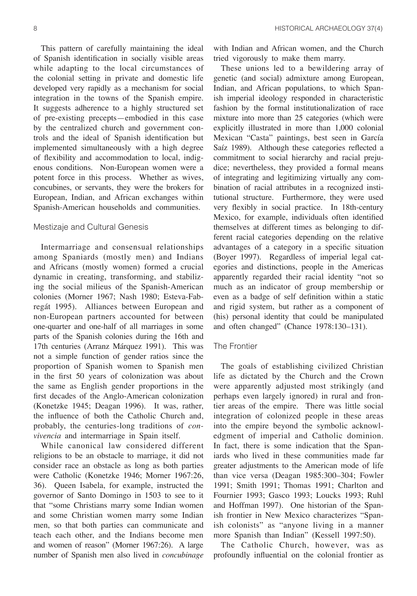This pattern of carefully maintaining the ideal of Spanish identification in socially visible areas while adapting to the local circumstances of the colonial setting in private and domestic life developed very rapidly as a mechanism for social integration in the towns of the Spanish empire. It suggests adherence to a highly structured set of pre-existing precepts—embodied in this case by the centralized church and government controls and the ideal of Spanish identification but implemented simultaneously with a high degree of flexibility and accommodation to local, indigenous conditions. Non-European women were a potent force in this process. Whether as wives, concubines, or servants, they were the brokers for European, Indian, and African exchanges within Spanish-American households and communities.

# Mestizaje and Cultural Genesis

Intermarriage and consensual relationships among Spaniards (mostly men) and Indians and Africans (mostly women) formed a crucial dynamic in creating, transforming, and stabilizing the social milieus of the Spanish-American colonies (Morner 1967; Nash 1980; Esteva-Fabregát 1995). Alliances between European and non-European partners accounted for between one-quarter and one-half of all marriages in some parts of the Spanish colonies during the 16th and 17th centuries (Arranz Márquez 1991). This was not a simple function of gender ratios since the proportion of Spanish women to Spanish men in the first 50 years of colonization was about the same as English gender proportions in the first decades of the Anglo-American colonization (Konetzke 1945; Deagan 1996). It was, rather, the influence of both the Catholic Church and, probably, the centuries-long traditions of *convivencia* and intermarriage in Spain itself.

While canonical law considered different religions to be an obstacle to marriage, it did not consider race an obstacle as long as both parties were Catholic (Konetzke 1946; Morner 1967:26, 36). Queen Isabela, for example, instructed the governor of Santo Domingo in 1503 to see to it that "some Christians marry some Indian women and some Christian women marry some Indian men, so that both parties can communicate and teach each other, and the Indians become men and women of reason" (Morner 1967:26). A large number of Spanish men also lived in *concubinage* with Indian and African women, and the Church tried vigorously to make them marry.

These unions led to a bewildering array of genetic (and social) admixture among European, Indian, and African populations, to which Spanish imperial ideology responded in characteristic fashion by the formal institutionalization of race mixture into more than 25 categories (which were explicitly illustrated in more than 1,000 colonial Mexican "Casta" paintings, best seen in García Saíz 1989). Although these categories reflected a commitment to social hierarchy and racial prejudice; nevertheless, they provided a formal means of integrating and legitimizing virtually any combination of racial attributes in a recognized institutional structure. Furthermore, they were used very flexibly in social practice. In 18th-century Mexico, for example, individuals often identified themselves at different times as belonging to different racial categories depending on the relative advantages of a category in a specific situation (Boyer 1997). Regardless of imperial legal categories and distinctions, people in the Americas apparently regarded their racial identity "not so much as an indicator of group membership or even as a badge of self definition within a static and rigid system, but rather as a component of (his) personal identity that could be manipulated and often changed" (Chance 1978:130–131).

# The Frontier

The goals of establishing civilized Christian life as dictated by the Church and the Crown were apparently adjusted most strikingly (and perhaps even largely ignored) in rural and frontier areas of the empire. There was little social integration of colonized people in these areas into the empire beyond the symbolic acknowledgment of imperial and Catholic dominion. In fact, there is some indication that the Spaniards who lived in these communities made far greater adjustments to the American mode of life than vice versa (Deagan 1985:300–304; Fowler 1991; Smith 1991; Thomas 1991; Charlton and Fournier 1993; Gasco 1993; Loucks 1993; Ruhl and Hoffman 1997). One historian of the Spanish frontier in New Mexico characterizes "Spanish colonists" as "anyone living in a manner more Spanish than Indian" (Kessell 1997:50).

The Catholic Church, however, was as profoundly influential on the colonial frontier as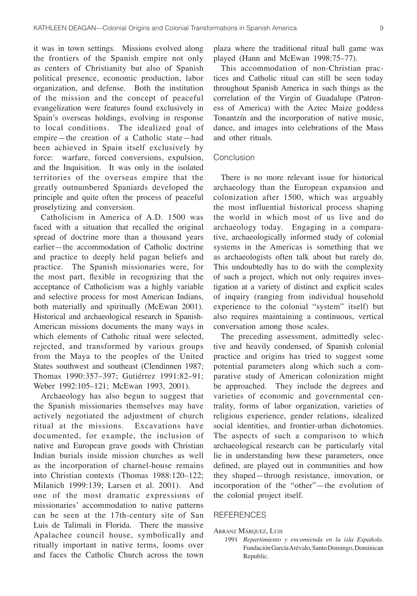it was in town settings. Missions evolved along the frontiers of the Spanish empire not only as centers of Christianity but also of Spanish political presence, economic production, labor organization, and defense. Both the institution of the mission and the concept of peaceful evangelization were features found exclusively in Spain's overseas holdings, evolving in response to local conditions. The idealized goal of empire—the creation of a Catholic state—had been achieved in Spain itself exclusively by force: warfare, forced conversions, expulsion, and the Inquisition. It was only in the isolated territories of the overseas empire that the greatly outnumbered Spaniards developed the principle and quite often the process of peaceful proselytizing and conversion.

Catholicism in America of A.D. 1500 was faced with a situation that recalled the original spread of doctrine more than a thousand years earlier—the accommodation of Catholic doctrine and practice to deeply held pagan beliefs and practice. The Spanish missionaries were, for the most part, flexible in recognizing that the acceptance of Catholicism was a highly variable and selective process for most American Indians, both materially and spiritually (McEwan 2001). Historical and archaeological research in Spanish-American missions documents the many ways in which elements of Catholic ritual were selected, rejected, and transformed by various groups from the Maya to the peoples of the United States southwest and southeast (Clendinnen 1987; Thomas 1990:357–397; Gutiérrez 1991:82–91; Weber 1992:105–121; McEwan 1993, 2001).

Archaeology has also begun to suggest that the Spanish missionaries themselves may have actively negotiated the adjustment of church ritual at the missions. Excavations have documented, for example, the inclusion of native and European grave goods with Christian Indian burials inside mission churches as well as the incorporation of charnel-house remains into Christian contexts (Thomas 1988:120–122; Milanich 1999:139; Larsen et al. 2001). And one of the most dramatic expressions of missionaries' accommodation to native patterns can be seen at the 17th-century site of San Luis de Talimali in Florida. There the massive Apalachee council house, symbolically and ritually important in native terms, looms over and faces the Catholic Church across the town

plaza where the traditional ritual ball game was played (Hann and McEwan 1998:75–77).

This accommodation of non-Christian practices and Catholic ritual can still be seen today throughout Spanish America in such things as the correlation of the Virgin of Guadalupe (Patroness of America) with the Aztec Maize goddess Tonantzín and the incorporation of native music, dance, and images into celebrations of the Mass and other rituals.

# Conclusion

There is no more relevant issue for historical archaeology than the European expansion and colonization after 1500, which was arguably the most influential historical process shaping the world in which most of us live and do archaeology today. Engaging in a comparative, archaeologically informed study of colonial systems in the Americas is something that we as archaeologists often talk about but rarely do. This undoubtedly has to do with the complexity of such a project, which not only requires investigation at a variety of distinct and explicit scales of inquiry (ranging from individual household experience to the colonial "system" itself) but also requires maintaining a continuous, vertical conversation among those scales.

The preceding assessment, admittedly selective and heavily condensed, of Spanish colonial practice and origins has tried to suggest some potential parameters along which such a comparative study of American colonization might be approached. They include the degrees and varieties of economic and governmental centrality, forms of labor organization, varieties of religious experience, gender relations, idealized social identities, and frontier-urban dichotomies. The aspects of such a comparison to which archaeological research can be particularly vital lie in understanding how these parameters, once defined, are played out in communities and how they shaped—through resistance, innovation, or incorporation of the "other"—the evolution of the colonial project itself.

# **REFERENCES**

#### ARRANZ MÁRQUEZ, LUIS

1991 *Repartimiento y encomienda en la isla Española*. Fundación García Arévalo, Santo Domingo, Dominican Republic.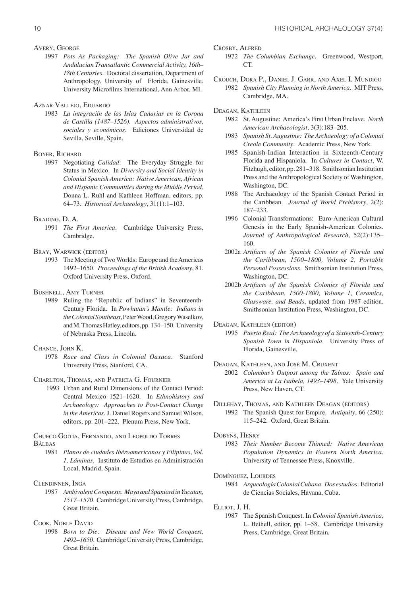#### AVERY, GEORGE

1997 *Pots As Packaging: The Spanish Olive Jar and Andalucian Transatlantic Commercial Activity, 16th– 18th Centuries*. Doctoral dissertation, Department of Anthropology, University of Florida, Gainesville. University Microfilms International, Ann Arbor, MI.

# AZNAR VALLEJO, EDUARDO

1983 *La integraciín de las Islas Canarias en la Corona de Castilla (1487–1526). Aspectos administrativos, sociales y económicos*. Ediciones Universidad de Sevilla, Seville, Spain.

#### BOYER, RICHARD

1997 Negotiating *Calidad*: The Everyday Struggle for Status in Mexico. In *Diversity and Social Identity in Colonial Spanish America: Native American, African and Hispanic Communities during the Middle Period*, Donna L. Ruhl and Kathleen Hoffman, editors, pp. 64–73. *Historical Archaeology*, 31(1):1–103.

#### BRADING, D. A.

1991 *The First America*. Cambridge University Press, Cambridge.

# BRAY, WARWICK (EDITOR)

1993 The Meeting of Two Worlds: Europe and the Americas 1492–1650. *Proceedings of the British Academy*, 81. Oxford University Press, Oxford.

## BUSHNELL, AMY TURNER

1989 Ruling the "Republic of Indians" in Seventeenth-Century Florida. In *Powhatan's Mantle: Indians in the Colonial Southeast*, Peter Wood, Gregory Waselkov, and M. Thomas Hatley, editors, pp. 134–150. University of Nebraska Press, Lincoln.

### CHANCE, JOHN K.

1978 *Race and Class in Colonial Oaxaca*. Stanford University Press, Stanford, CA.

CHARLTON, THOMAS, AND PATRICIA G. FOURNIER

 1993 Urban and Rural Dimensions of the Contact Period: Central Mexico 1521–1620. In *Ethnohistory and Archaeology: Approaches to Post-Contact Change in the Americas*, J. Daniel Rogers and Samuel Wilson, editors, pp. 201–222. Plenum Press, New York.

#### CHUECO GOITIA, FERNANDO, AND LEOPOLDO TORRES BÁLBAS

- 1981 *Planos de ciudades Ibéroamericanos y Filipinas*, *Vol. 1, Láminas*. Instituto de Estudios en Administración Local, Madrid, Spain.
- CLENDINNEN, INGA
	- 1987 *Ambivalent Conquests. Maya and Spaniard in Yucatan, 1517–1570*. Cambridge University Press, Cambridge, Great Britain.

# COOK, NOBLE DAVID

1998 *Born to Die: Disease and New World Conquest, 1492–1650*. Cambridge University Press, Cambridge, Great Britain.

CROSBY, ALFRED

- 1972 *The Columbian Exchange*. Greenwood, Westport, CT.
- CROUCH, DORA P., DANIEL J. GARR, AND AXEL I. MUNDIGO 1982 *Spanish City Planning in North America*. MIT Press, Cambridge, MA.
- DEAGAN, KATHLEEN
	- 1982 St. Augustine: America's First Urban Enclave. *North American Archaeologist*, 3(3):183–205.
	- 1983 *Spanish St. Augustine: The Archaeology of a Colonial Creole Community*. Academic Press, New York.
	- 1985 Spanish-Indian Interaction in Sixteenth-Century Florida and Hispaniola. In *Cultures in Contact*, W. Fitzhugh, editor, pp. 281–318. Smithsonian Institution Press and the Anthropological Society of Washington, Washington, DC.
	- 1988 The Archaeology of the Spanish Contact Period in the Caribbean. *Journal of World Prehistory*, 2(2): 187–233.
	- 1996 Colonial Transformations: Euro-American Cultural Genesis in the Early Spanish-American Colonies. *Journal of Anthropological Research*, 52(2):135– 160.
	- 2002a *Artifacts of the Spanish Colonies of Florida and the Caribbean, 1500–1800, Volume 2, Portable Personal Possessions*. Smithsonian Institution Press, Washington, DC.
	- 2002b *Artifacts of the Spanish Colonies of Florida and the Caribbean, 1500-1800, Volume 1, Ceramics, Glassware, and Beads*, updated from 1987 edition. Smithsonian Institution Press, Washington, DC.

DEAGAN, KATHLEEN (EDITOR)

1995 *Puerto Real: The Archaeology of a Sixteenth-Century Spanish Town in Hispaniola*. University Press of Florida, Gainesville.

DEAGAN, KATHLEEN, AND JOSÉ M. CRUXENT

2002 *Columbus's Outpost among the Taínos: Spain and America at La Isabela, 1493–1498*. Yale University Press, New Haven, CT.

## DILLEHAY, THOMAS, AND KATHLEEN DEAGAN (EDITORS)

1992 The Spanish Quest for Empire. *Antiquity*, 66 (250): 115–242. Oxford, Great Britain.

## DOBYNS, HENRY

- 1983 *Their Number Become Thinned: Native American Population Dynamics in Eastern North America*. University of Tennessee Press, Knoxville.
- DOMÍNGUEZ, LOURDES
	- 1984 *Arqueología Colonial Cubana. Dos estudios*. Editorial de Ciencias Sociales, Havana, Cuba.

ELLIOT, J. H.

1987 The Spanish Conquest. In *Colonial Spanish America*, L. Bethell, editor, pp. 1–58. Cambridge University Press, Cambridge, Great Britain.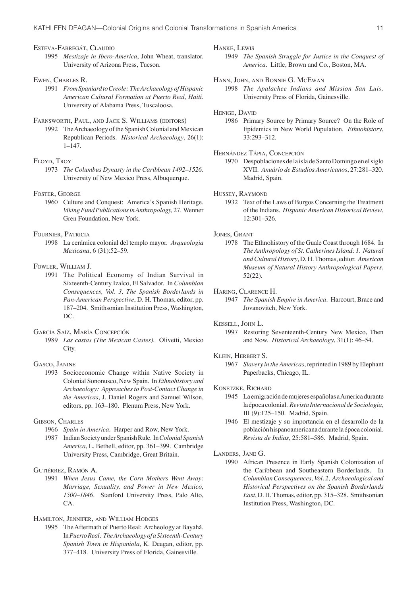ESTEVA-FABREGÁT, CLAUDIO

1995 *Mestizaje in Ibero-America*, John Wheat, translator. University of Arizona Press, Tucson.

## EWEN, CHARLES R.

1991 *From Spaniard to Creole: The Archaeology of Hispanic American Cultural Formation at Puerto Real, Haiti*. University of Alabama Press, Tuscaloosa.

# FARNSWORTH, PAUL, AND JACK S. WILLIAMS (EDITORS)

1992 The Archaeology of the Spanish Colonial and Mexican Republican Periods. *Historical Archaeology*, 26(1): 1–147.

# FLOYD, TROY

1973 *The Columbus Dynasty in the Caribbean 1492–1526*. University of New Mexico Press, Albuquerque.

#### FOSTER, GEORGE

1960 Culture and Conquest: America's Spanish Heritage. *Viking Fund Publications in Anthropology,* 27. Wenner Gren Foundation, New York.

#### FOURNIER, PATRICIA

1998 La cerámica colonial del templo mayor. *Arqueologia Mexicana*, 6 (31):52–59.

## FOWLER, WILLIAM J.

1991 The Political Economy of Indian Survival in Sixteenth-Century Izalco, El Salvador. In *Columbian Consequences, Vol. 3, The Spanish Borderlands in Pan-American Perspective*, D. H. Thomas, editor, pp. 187–204. Smithsonian Institution Press, Washington, DC.

## GARCÍA SAÍZ, MARÍA CONCEPCIÓN

1989 *Las castas (The Mexican Castes)*. Olivetti, Mexico City.

# GASCO, JANINE

1993 Socioeconomic Change within Native Society in Colonial Sononusco, New Spain. In *Ethnohistory and Archaeology: Approaches to Post-Contact Change in the Americas*, J. Daniel Rogers and Samuel Wilson, editors, pp. 163–180. Plenum Press, New York.

# GIBSON, CHARLES

- 1966 *Spain in America*. Harper and Row, New York.
- 1987 Indian Society under Spanish Rule. In *Colonial Spanish America*, L. Bethell, editor, pp. 361–399. Cambridge University Press, Cambridge, Great Britain.

#### GUTIÉRREZ, RAMÓN A.

1991 *When Jesus Came, the Corn Mothers Went Away: Marriage, Sexuality, and Power in New Mexico, 1500–1846*. Stanford University Press, Palo Alto, CA.

## HAMILTON, JENNIFER, AND WILLIAM HODGES

1995 The Aftermath of Puerto Real: Archeology at Bayahá. In *Puerto Real: The Archaeology of a Sixteenth-Century Spanish Town in Hispaniola*, K. Deagan, editor, pp. 377–418. University Press of Florida, Gainesville.

#### HANKE, LEWIS

1949 *The Spanish Struggle for Justice in the Conquest of America*. Little, Brown and Co., Boston, MA.

# HANN, JOHN, AND BONNIE G. MCEWAN

1998 *The Apalachee Indians and Mission San Luis*. University Press of Florida, Gainesville.

#### HENIGE, DAVID

1986 Primary Source by Primary Source? On the Role of Epidemics in New World Population. *Ethnohistory*, 33:293–312.

## HERNÁNDEZ TÁPIA, CONCEPCIÓN

1970 Despoblaciones de la isla de Santo Domingo en el siglo XVII. *Anuário de Estudios Americanos*, 27:281–320. Madrid, Spain.

#### HUSSEY, RAYMOND

1932 Text of the Laws of Burgos Concerning the Treatment of the Indians. *Hispanic American Historical Review*, 12:301–326.

## JONES, GRANT

1978 The Ethnohistory of the Guale Coast through 1684. In *The Anthropology of St. Catherines Island: 1. Natural and Cultural History*, D. H. Thomas, editor. *American Museum of Natural History Anthropological Papers*, 52(22).

#### HARING, CLARENCE H.

1947 *The Spanish Empire in America*. Harcourt, Brace and Jovanovitch, New York.

#### KESSELL, JOHN L.

1997 Restoring Seventeenth-Century New Mexico, Then and Now. *Historical Archaeology*, 31(1): 46–54.

#### KLEIN, HERBERT S.

1967 *Slavery in the Americas*, reprinted in 1989 by Elephant Paperbacks, Chicago, IL.

#### KONETZKE, RICHARD

- 1945 La emigración de mujeres españolas a America durante la época colonial. *Revista Internacional de Sociologia*, III (9):125–150. Madrid, Spain.
- 1946 El mestizaje y su importancia en el desarrollo de la población hispanoamericana durante la época colonial. *Revista de Indias*, 25:581–586. Madrid, Spain.

#### LANDERS, JANE G.

1990 African Presence in Early Spanish Colonization of the Caribbean and Southeastern Borderlands. In *Columbian Consequences, Vol. 2, Archaeological and Historical Perspectives on the Spanish Borderlands East*, D. H. Thomas, editor, pp. 315–328. Smithsonian Institution Press, Washington, DC.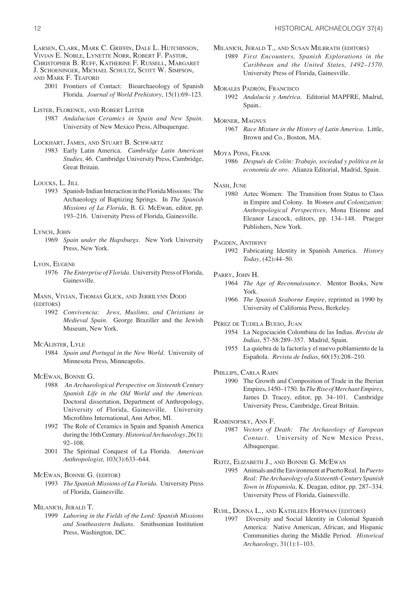LARSEN, CLARK, MARK C. GRIFFIN, DALE L. HUTCHINSON,

VIVIAN E. NOBLE, LYNETTE NORR, ROBERT F. PASTOR,

CHRISTOPHER B. RUFF, KATHERINE F. RUSSELL, MARGARET J. SCHOENINGER, MICHAEL SCHULTZ, SCOTT W. SIMPSON,

AND MARK F. TEAFORD

- 2001 Frontiers of Contact: Bioarchaeology of Spanish Florida. *Journal of World Prehistory*, 15(1):69–123.
- LISTER, FLORENCE, AND ROBERT LISTER
	- 1987 *Andalucian Ceramics in Spain and New Spain*. University of New Mexico Press, Albuquerque.

## LOCKHART, JAMES, AND STUART B. SCHWARTZ

1983 Early Latin America. *Cambridge Latin American Studies,* 46. Cambridge University Press, Cambridge, Great Britain.

#### LOUCKS, L. JILL

1993 Spanish-Indian Interaction in the Florida Missions: The Archaeology of Baptizing Springs. In *The Spanish Missions of La Florida*, B. G. McEwan, editor, pp. 193–216. University Press of Florida, Gainesville.

## LYNCH, JOHN

1969 *Spain under the Hapsburgs*. New York University Press, New York.

## LYON, EUGENE

1976 *The Enterprise of Florida*. University Press of Florida, Gainesville.

#### MANN, VIVIAN, THOMAS GLICK, AND JERRILYNN DODD (EDITORS)

1992 *Convivencia: Jews, Muslims, and Christians in Medieval Spain*. George Braziller and the Jewish Museum, New York.

#### MCALISTER, LYLE

1984 *Spain and Portugal in the New World*. University of Minnesota Press, Minneapolis.

### MCEWAN, BONNIE G.

- 1988 *An Archaeological Perspective on Sixteenth Century Spanish Life in the Old World and the Americas*. Doctoral dissertation, Department of Anthropology, University of Florida, Gainesville. University Microfilms International, Ann Arbor, MI.
- 1992 The Role of Ceramics in Spain and Spanish America during the 16th Century. *Historical Archaeology*, 26(1): 92–108.
- 2001 The Spiritual Conquest of La Florida. *American Anthropologist*, 103(3):633–644.

#### MCEWAN, BONNIE G. (EDITOR)

1993 *The Spanish Missions of La Florida*. University Press of Florida, Gainesville.

#### MILANICH, JERALD T.

1999 *Laboring in the Fields of the Lord: Spanish Missions and Southeastern Indians*. Smithsonian Institution Press, Washington, DC.

MILANICH, JERALD T., AND SUSAN MILBRATH (EDITORS)

- 1989 *First Encounters, Spanish Explorations in the Caribbean and the United States, 1492–1570*. University Press of Florida, Gainesville.
- MORALES PADRÓN, FRANCISCO 1992 *Andalucía y América*. Editorial MAPFRE, Madrid, Spain..
- MORNER, MAGNUS

1967 *Race Mixture in the History of Latin America*. Little, Brown and Co., Boston, MA.

### MOYA PONS, FRANK

1986 *Después de Colón: Trabajo, sociedad y política en la economía de oro*. Alianza Editorial, Madrid, Spain.

#### NASH, JUNE

1980 Aztec Women: The Transition from Status to Class in Empire and Colony. In *Women and Colonization: Anthropological Perspectives*, Mona Etienne and Eleanor Leacock, editors, pp. 134–148. Praeger Publishers, New York.

#### PAGDEN, ANTHONY

1992 Fabricating Identity in Spanish America. *History Today*, (42):44–50.

#### PARRY, JOHN H.

- 1964 *The Age of Reconnaissance*. Mentor Books, New York.
- 1966 *The Spanish Seaborne Empire*, reprinted in 1990 by University of California Press, Berkeley.

# PÉREZ DE TUDELA BUESO, JUAN

- 1954 La Negociación Colombina de las Indias. *Revista de Indias*, 57-58:289–357. Madrid, Spain.
- 1955 La quiebra de la factoría y el nuevo poblamiento de la Española. *Revista de Indias*, 60(15):208–210.

PHILLIPS, CARLA RAHN

- 1990 The Growth and Composition of Trade in the Iberian Empires, 1450–1750. In *The Rise of Merchant Empires*, James D. Tracey, editor, pp. 34–101. Cambridge University Press, Cambridge, Great Britain.
- RAMENOFSKY, ANN F.
	- 1987 *Vectors of Death: The Archaeology of European Contact*. University of New Mexico Press, Albuquerque.

#### REITZ, ELIZABETH J., AND BONNIE G. MCEWAN

1995 Animals and the Environment at Puerto Real. In *Puerto Real: The Archaeology of a Sixteenth-Century Spanish Town in Hispaniola*, K. Deagan, editor, pp. 287–334. University Press of Florida, Gainesville.

## RUHL, DONNA L., AND KATHLEEN HOFFMAN (EDITORS)

1997 Diversity and Social Identity in Colonial Spanish America: Native American, African, and Hispanic Communities during the Middle Period. *Historical Archaeology*, 31(1):1–103.